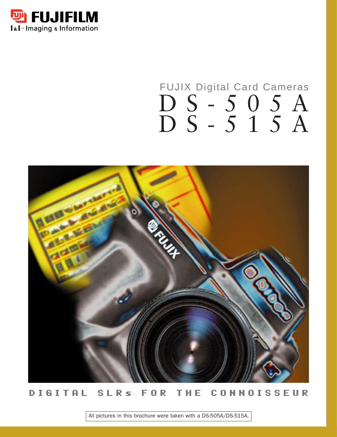

## FUJIX Digital Card Cameras DS-505A DS-515A



### DIGITAL SLRs FOR THE CONNOISSEUR

All pictures in this brochure were taken with a DS-505A/DS-515A.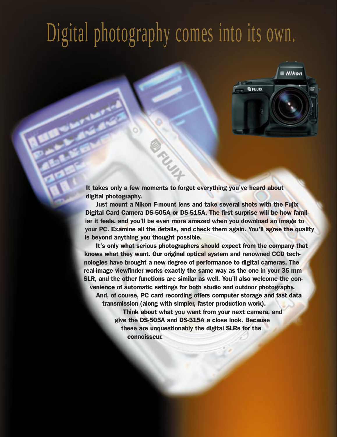# Digital photography comes into its own.



It takes only a few moments to forget everything you've heard about digital photography.

Just mount a Nikon F-mount lens and take several shots with the Fujix Digital Card Camera DS-505A or DS-515A. The first surprise will be how familiar it feels, and you'll be even more amazed when you download an image to your PC. Examine all the details, and check them again. You'll agree the quality is beyond anything you thought possible.

It's only what serious photographers should expect from the company that knows what they want. Our original optical system and renowned CCD technologies have brought a new degree of performance to digital cameras. The real-image viewfinder works exactly the same way as the one in your 35 mm SLR, and the other functions are similar as well. You'll also welcome the convenience of automatic settings for both studio and outdoor photography. And, of course, PC card recording offers computer storage and fast data transmission (along with simpler, faster production work). Think about what you want from your next camera, and give the DS-505A and DS-515A a close look. Because these are unquestionably the digital SLRs for the connoisseur.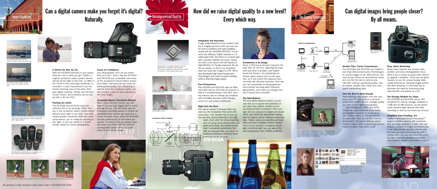It Works the Way You Do

With the DS-505A/DS-515A in your hands, what you see is what you get. Fuijfilm's original condenser optics system directs almost all the light to the CCD, so 98% of the scene in the real-image viewfinder is recorded—a vast improvement over the limited shooting area of the other SLRtype digital cameras. Simply use the lens of your choice, and compose just as you

do with a 35 mm SLR.

Pushing the Limits

The DS-505A and DS-515A raise the effective ISO to an ultrahigh 3200. The key is the condenser optics system which delivers more light to the CCD—and that means greater sensitivity. With this extra performance, you're ready for shooting in dim light, or you can switch to a faster shutter speed for action photography.

#### Cause for Confidence



## Can a digital camera make you forget it's digital? **Expert Handling Contract Contract Contract Contract Contract Contract Contract Contract Contract Contract Contract Contract Contract Contract Contract Contract Contract Contract Contract Contract Contract Contract Contrac**



Effective ISO 3200 adds up to better results than you might have thought possible in action photography with a digital camera.

Your photographs can't be any better than your lens. That's why the DS-505A and DS-515A are compatible with many of the acclaimed F-mount Nikkor lenses from Nikon. Not only can you count on professional quality, but composing is natural since the condenser optics system creates a field of view matched to the focal length.



her SLR-type digital came have a much more limited shooting area.

#### Unequaled Speed, Uncommon Results

When every moment counts, you can depend on your Fujix digital SLR to come through for you. The DS-515A uses an innovative recording system to deliver an incredible three frames per second in a series of seven shots, while the DS-505A records continuously at one frame per second. To ensure that you always have the power you need, add the optional rechargeable battery for up to 1,000 shots from a single charge.





## How did we raise digital quality to a new level? Every which way. **Uncompromised Quality**





At the heart of any digital camera is its CCD image sensor—and that is why the highmage censer and that is mily the mgm<br>performance DS-505A and DS-515A are earning the respect of demanding professionals.





Other digital camera

#### Integration and Innovation

### Can digital images bring people closer? **Example 1 By all means.**

Simply connect the DS-505A/DS-515A to a TV or a portable LCD monitor, and you can check an image im before it's recorded. (The monitor is not included, and the image on the monitor is synthesized.

Image quality depends on the number of pixels in a digital camera's CCD, but more pixels lead to problems with data handling except with the DS-505A/DS-515A. To overcome this difficulty, Fujifilm selected a 1.3 million-pixel CCD. The CCD is a 2/3-inch type with a Vacancy Transfer (VT) array—resolution that's very close to the line density of high-definition TV. Equally important, the pixels are square, so there's no conversion when you input your images to a PC. We've also developed High Data-Compression Technologies that speed up data handling without affecting image quality.

#### Pure Performance

The DS-505A and DS-515A have an RGB color filter with an S/N ratio far superior to that of a complementary color filter. Even the intense reds of a flower are rendered with incredible accuracy, while the gray tones of a suit remain unaffected.

#### Right from the Start

The optical system's low-pass filter can save you the headaches that come with color noise—the metallic look of red, yellow and blue specks glittering in the high-

lights. Even after the time-consuming task of curing these defects with computer processing, the results usually aren't completely satisfactory. But with our low-pass filter, you won't be bothered, because it prevents these problems during shooting.



#### Consistency Is by Design

Since a CCD has a narrower exposure latitude than 35 mm film, adjusting the exposure was often a problem until Fujifilm found the solution. Our pioneering condenser optics system has its own aperture, so it can control the exposure electronically with absolute precision. That way you can concentrate on taking great pictures without worrying about exposure adjustments, even when you change from one F-mount lens to another.

#### The Ideal Balance

The Auto White Balance mode is so precise that you'll capture the subtleties of just about any subject, whether you're shooting portraits or products. From sunlight and city canyons to twilight and studio shots, just select the appropriate setting, and the balance will be optimized automatically. There's also a six-step Manual mode when you want complete creative control. And if you're working in changing natural light or artificial light, you can adjust the color temperature from 3000K to 8000K.



**Condenser Optics System**

#### Smaller Files, Faster Transmission

The DS-505A and DS-515A use Fujifilm's own High Data-Compression Technologies to record images in the JPEG format. Not only do they follow an international standard, but the file size is held to only 160 KB—without sacrificing quality. And, of course, smaller files mean less time spent transmitting data.

#### Only the Best Is Good Enough

After inputting your images from the camera to your PC, just connect a full-color printer from Fujifilm for the ultrahigh quality you want in your digital photography.

Our Pictrography 3000 and 4000 employ an unprecedented silver-halide photographic process to create up to 16.7 million colors in 256 gradations for each CMY. And the NC-500 Thermo-Autochrome (TA) printer delivers photorealistic results with a pioneering process files and large quantities of data. You can based on paper that colors itself.



#### Easy, Quick Reviewing

Studio work requires one preview after another, and news photographers know there's not a minute to spare when they're up against a deadline. Those are two good reasons to use the unique analog video output terminal for checking images before and after shooting. It's the easy way to eliminate the need for time-consuming data transfer and display on a PC.

#### The Storage Medium for Today

The DS-505A and DS-515A use an ATAcompliant PC card for storage. Available in 5 MB and 15 MB versions, our HG Series cards combine high capacity with data recording as fast as one frame per second.

#### Simplified Data Handling, Too

Fujifilm's dedicated SD-D5 Photoshop™ plug-in simplifies working with numerous display a number of images simultaneously in the Index format and then choose only the ones you want, just as you do with a contact print. You can also show the shooting date, exposure conditions and other information to decide if you want to save it.















The DS-505A and DS-515A are compatible with a wide range of F-mount lenses from Nikon.









Use the DS-515A to capture all the action with Continuous Mode shooting as fast as three frames per second.

All pictures in this brochure were taken with a DS-505A/DS-515A.